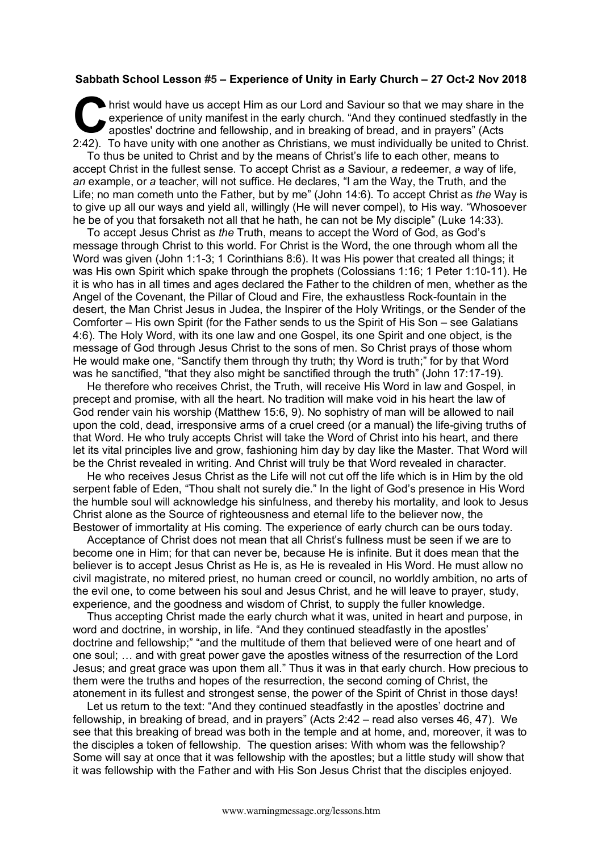## **Sabbath School Lesson #5 – Experience of Unity in Early Church – 27 Oct-2 Nov 2018**

hrist would have us accept Him as our Lord and Saviour so that we may share in the experience of unity manifest in the early church. "And they continued stedfastly in the apostles' doctrine and fellowship, and in breaking of bread, and in prayers" (Acts It have us accept Him as our Lord and Saviour so that we may share in the experience of unity manifest in the early church. "And they continued stedfastly in the apostles' doctrine and fellowship, and in breaking of bread,

To thus be united to Christ and by the means of Christ's life to each other, means to accept Christ in the fullest sense. To accept Christ as *a* Saviour, *a* redeemer, *a* way of life, *an* example, or *a* teacher, will not suffice. He declares, "I am the Way, the Truth, and the Life; no man cometh unto the Father, but by me" (John 14:6). To accept Christ as *the* Way is to give up all our ways and yield all, willingly (He will never compel), to His way. "Whosoever he be of you that forsaketh not all that he hath, he can not be My disciple" (Luke 14:33).

To accept Jesus Christ as *the* Truth, means to accept the Word of God, as God's message through Christ to this world. For Christ is the Word, the one through whom all the Word was given (John 1:1-3; 1 Corinthians 8:6). It was His power that created all things; it was His own Spirit which spake through the prophets (Colossians 1:16; 1 Peter 1:10-11). He it is who has in all times and ages declared the Father to the children of men, whether as the Angel of the Covenant, the Pillar of Cloud and Fire, the exhaustless Rock-fountain in the desert, the Man Christ Jesus in Judea, the Inspirer of the Holy Writings, or the Sender of the Comforter – His own Spirit (for the Father sends to us the Spirit of His Son – see Galatians 4:6). The Holy Word, with its one law and one Gospel, its one Spirit and one object, is the message of God through Jesus Christ to the sons of men. So Christ prays of those whom He would make one, "Sanctify them through thy truth; thy Word is truth;" for by that Word was he sanctified, "that they also might be sanctified through the truth" (John 17:17-19).

He therefore who receives Christ, the Truth, will receive His Word in law and Gospel, in precept and promise, with all the heart. No tradition will make void in his heart the law of God render vain his worship (Matthew 15:6, 9). No sophistry of man will be allowed to nail upon the cold, dead, irresponsive arms of a cruel creed (or a manual) the life-giving truths of that Word. He who truly accepts Christ will take the Word of Christ into his heart, and there let its vital principles live and grow, fashioning him day by day like the Master. That Word will be the Christ revealed in writing. And Christ will truly be that Word revealed in character.

He who receives Jesus Christ as the Life will not cut off the life which is in Him by the old serpent fable of Eden, "Thou shalt not surely die." In the light of God's presence in His Word the humble soul will acknowledge his sinfulness, and thereby his mortality, and look to Jesus Christ alone as the Source of righteousness and eternal life to the believer now, the Bestower of immortality at His coming. The experience of early church can be ours today.

Acceptance of Christ does not mean that all Christ's fullness must be seen if we are to become one in Him; for that can never be, because He is infinite. But it does mean that the believer is to accept Jesus Christ as He is, as He is revealed in His Word. He must allow no civil magistrate, no mitered priest, no human creed or council, no worldly ambition, no arts of the evil one, to come between his soul and Jesus Christ, and he will leave to prayer, study, experience, and the goodness and wisdom of Christ, to supply the fuller knowledge.

Thus accepting Christ made the early church what it was, united in heart and purpose, in word and doctrine, in worship, in life. "And they continued steadfastly in the apostles' doctrine and fellowship;" "and the multitude of them that believed were of one heart and of one soul; … and with great power gave the apostles witness of the resurrection of the Lord Jesus; and great grace was upon them all." Thus it was in that early church. How precious to them were the truths and hopes of the resurrection, the second coming of Christ, the atonement in its fullest and strongest sense, the power of the Spirit of Christ in those days!

Let us return to the text: "And they continued steadfastly in the apostles' doctrine and fellowship, in breaking of bread, and in prayers" (Acts 2:42 – read also verses 46, 47). We see that this breaking of bread was both in the temple and at home, and, moreover, it was to the disciples a token of fellowship. The question arises: With whom was the fellowship? Some will say at once that it was fellowship with the apostles; but a little study will show that it was fellowship with the Father and with His Son Jesus Christ that the disciples enjoyed.